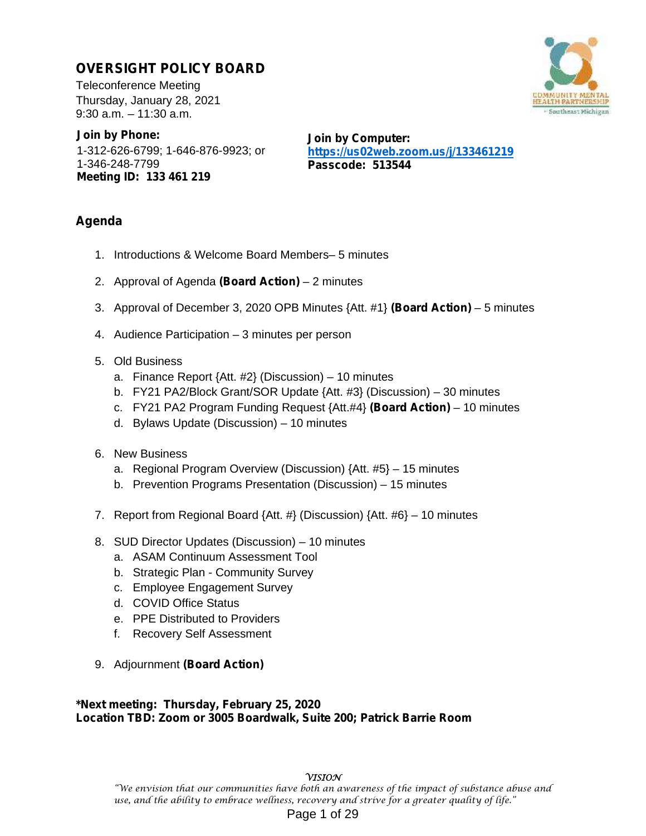### **OVERSIGHT POLICY BOARD**

Teleconference Meeting Thursday, January 28, 2021 9:30 a.m. – 11:30 a.m.

**Join by Phone:** 1-312-626-6799; 1-646-876-9923; or 1-346-248-7799 **Meeting ID: 133 461 219**

**Join by Computer: https://us02web.zoom.us/j/133461219 Passcode: 513544**

### **Agenda**

- 1. Introductions & Welcome Board Members– 5 minutes
- 2. Approval of Agenda **(Board Action)** 2 minutes
- 3. Approval of December 3, 2020 OPB Minutes {Att. #1} **(Board Action)** 5 minutes
- 4. Audience Participation 3 minutes per person
- 5. Old Business
	- a. Finance Report {Att. #2} (Discussion) 10 minutes
	- b. FY21 PA2/Block Grant/SOR Update {Att. #3} (Discussion) 30 minutes
	- c. FY21 PA2 Program Funding Request {Att.#4} **(Board Action)** 10 minutes
	- d. Bylaws Update (Discussion) 10 minutes
- 6. New Business
	- a. Regional Program Overview (Discussion) {Att. #5} 15 minutes
	- b. Prevention Programs Presentation (Discussion) 15 minutes
- 7. Report from Regional Board {Att. #} (Discussion) {Att. #6} 10 minutes
- 8. SUD Director Updates (Discussion) 10 minutes
	- a. ASAM Continuum Assessment Tool
	- b. Strategic Plan Community Survey
	- c. Employee Engagement Survey
	- d. COVID Office Status
	- e. PPE Distributed to Providers
	- f. Recovery Self Assessment
- 9. Adjournment **(Board Action)**

### **\*Next meeting: Thursday, February 25, 2020 Location TBD: Zoom or 3005 Boardwalk, Suite 200; Patrick Barrie Room**

### **VISION**

"We envision that our communities have both an awareness of the impact of substance abuse and use, and the ability to embrace wellness, recovery and strive for a greater quality of life." Page 1 of 29

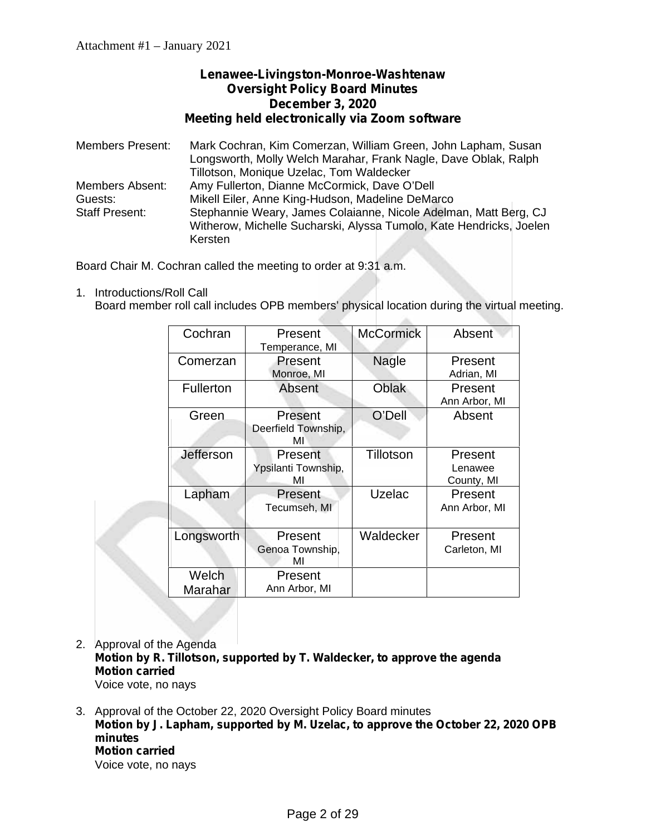### **Lenawee-Livingston-Monroe-Washtenaw Oversight Policy Board Minutes December 3, 2020 Meeting held electronically via Zoom software**

Members Present: Mark Cochran, Kim Comerzan, William Green, John Lapham, Susan Longsworth, Molly Welch Marahar, Frank Nagle, Dave Oblak, Ralph Tillotson, Monique Uzelac, Tom Waldecker Members Absent: Amy Fullerton, Dianne McCormick, Dave O'Dell Mikell Eiler, Anne King-Hudson, Madeline DeMarco Staff Present: Stephannie Weary, James Colaianne, Nicole Adelman, Matt Berg, CJ Witherow, Michelle Sucharski, Alyssa Tumolo, Kate Hendricks, Joelen Kersten

Board Chair M. Cochran called the meeting to order at 9:31 a.m.

1. Introductions/Roll Call Board member roll call includes OPB members' physical location during the virtual meeting.

| Cochran          | Present<br>Temperance, MI            | <b>McCormick</b> | Absent                           |
|------------------|--------------------------------------|------------------|----------------------------------|
| Comerzan         | Present<br>Monroe, MI                | <b>Nagle</b>     | Present<br>Adrian, MI            |
| <b>Fullerton</b> | Absent                               | Oblak            | Present<br>Ann Arbor, MI         |
| Green            | Present<br>Deerfield Township,<br>MI | O'Dell           | Absent                           |
| Jefferson        | Present<br>Ypsilanti Township,<br>MI | Tillotson        | Present<br>Lenawee<br>County, MI |
| Lapham           | Present<br>Tecumseh, MI              | Uzelac           | Present<br>Ann Arbor, MI         |
| Longsworth       | Present<br>Genoa Township,<br>MI     | Waldecker        | Present<br>Carleton, MI          |
| Welch<br>Marahar | Present<br>Ann Arbor, MI             |                  |                                  |

- 2. Approval of the Agenda **Motion by R. Tillotson, supported by T. Waldecker, to approve the agenda Motion carried** Voice vote, no nays
- 3. Approval of the October 22, 2020 Oversight Policy Board minutes **Motion by J. Lapham, supported by M. Uzelac, to approve the October 22, 2020 OPB minutes Motion carried** Voice vote, no nays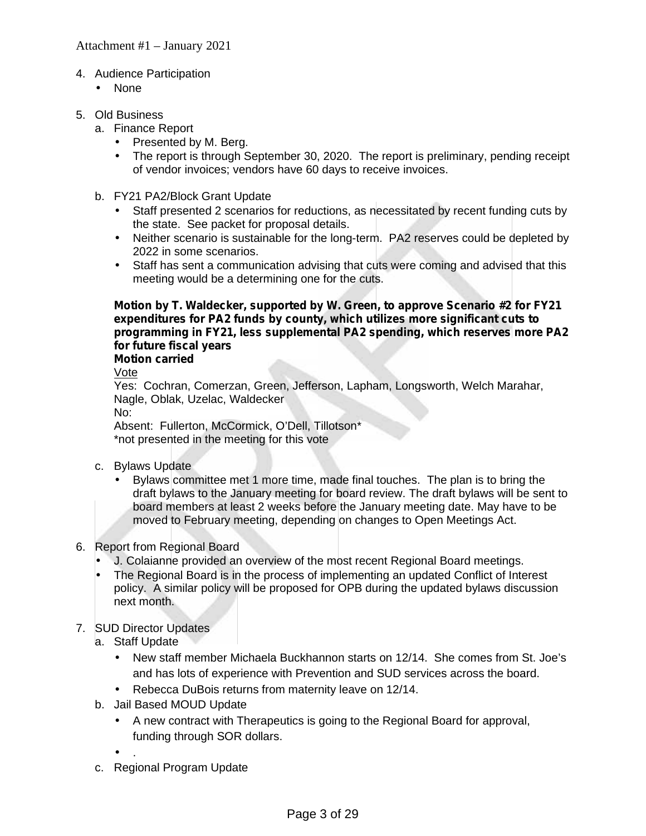### 4. Audience Participation

- None
- 5. Old Business
	- a. Finance Report
		- Presented by M. Berg.
		- The report is through September 30, 2020. The report is preliminary, pending receipt of vendor invoices; vendors have 60 days to receive invoices.
	- b. FY21 PA2/Block Grant Update
		- Staff presented 2 scenarios for reductions, as necessitated by recent funding cuts by the state. See packet for proposal details.
		- Neither scenario is sustainable for the long-term. PA2 reserves could be depleted by 2022 in some scenarios.
		- Staff has sent a communication advising that cuts were coming and advised that this meeting would be a determining one for the cuts.

### **Motion by T. Waldecker, supported by W. Green, to approve Scenario #2 for FY21 expenditures for PA2 funds by county, which utilizes more significant cuts to programming in FY21, less supplemental PA2 spending, which reserves more PA2 for future fiscal years**

### **Motion carried**

Vote

Yes: Cochran, Comerzan, Green, Jefferson, Lapham, Longsworth, Welch Marahar, Nagle, Oblak, Uzelac, Waldecker No:

Absent: Fullerton, McCormick, O'Dell, Tillotson\* \*not presented in the meeting for this vote

- c. Bylaws Update
	- Bylaws committee met 1 more time, made final touches. The plan is to bring the draft bylaws to the January meeting for board review. The draft bylaws will be sent to board members at least 2 weeks before the January meeting date. May have to be moved to February meeting, depending on changes to Open Meetings Act.

### 6. Report from Regional Board

- J. Colaianne provided an overview of the most recent Regional Board meetings.
- The Regional Board is in the process of implementing an updated Conflict of Interest policy. A similar policy will be proposed for OPB during the updated bylaws discussion next month.

### 7. SUD Director Updates

- a. Staff Update
	- New staff member Michaela Buckhannon starts on 12/14. She comes from St. Joe's and has lots of experience with Prevention and SUD services across the board.
	- Rebecca DuBois returns from maternity leave on 12/14.
- b. Jail Based MOUD Update
	- A new contract with Therapeutics is going to the Regional Board for approval, funding through SOR dollars.
	- $\int$  .
- c. Regional Program Update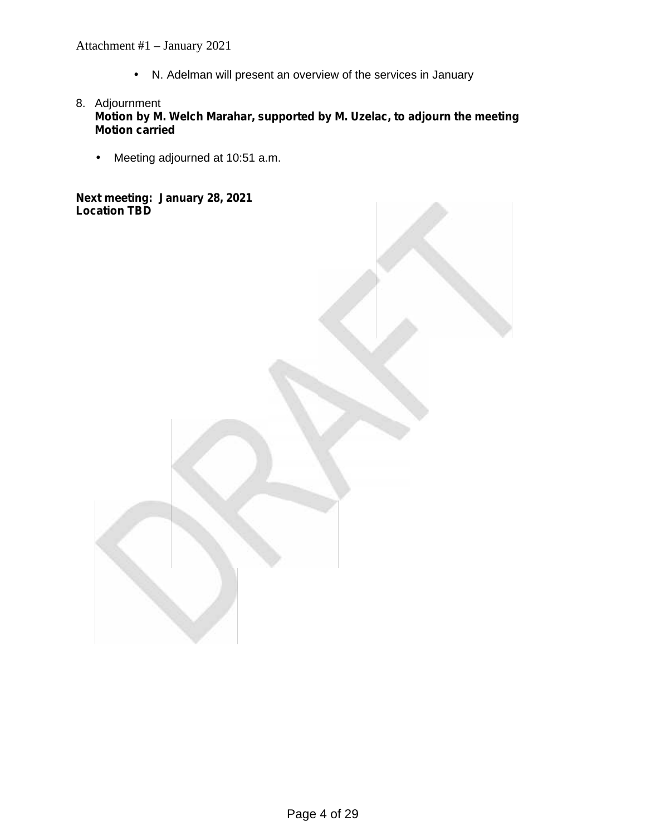Attachment #1 – January 2021

N. Adelman will present an overview of the services in January

- 8. Adjournment **Motion by M. Welch Marahar, supported by M. Uzelac, to adjourn the meeting Motion carried**
	- Meeting adjourned at 10:51 a.m.

**Next meeting: January 28, 2021 Location TBD**

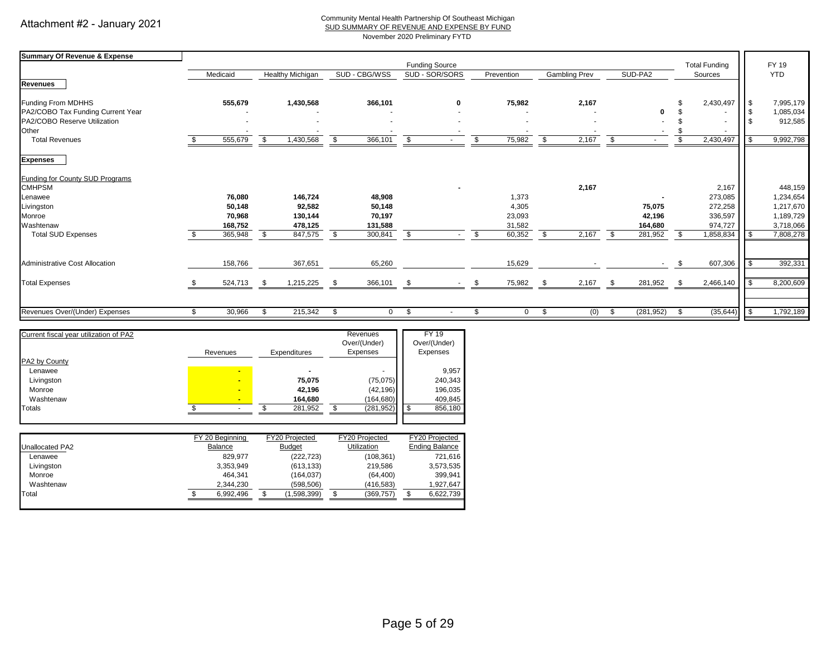#### Community Mental Health Partnership Of Southeast Michigan

SUD SUMMARY OF REVENUE AND EXPENSE BY FUND

November 2020 Preliminary FYTD

| <b>Summary Of Revenue &amp; Expense</b> |               |                         |      |               |                       |              |                     |      |               |      |            |              |                      |      |            |
|-----------------------------------------|---------------|-------------------------|------|---------------|-----------------------|--------------|---------------------|------|---------------|------|------------|--------------|----------------------|------|------------|
|                                         |               |                         |      |               | <b>Funding Source</b> |              |                     |      |               |      |            |              | <b>Total Funding</b> |      | FY 19      |
|                                         | Medicaid      | <b>Healthy Michigan</b> |      | SUD - CBG/WSS | SUD - SOR/SORS        |              | Prevention          |      | Gambling Prev |      | SUD-PA2    |              | Sources              |      | <b>YTD</b> |
| <b>Revenues</b>                         |               |                         |      |               |                       |              |                     |      |               |      |            |              |                      |      |            |
| Funding From MDHHS                      | 555,679       | 1,430,568               |      | 366,101       |                       | $\mathbf{0}$ | 75,982              |      | 2,167         |      |            |              | 2,430,497            | IS.  | 7,995,179  |
| PA2/COBO Tax Funding Current Year       |               |                         |      |               |                       |              |                     |      |               |      | o          |              |                      |      | 1,085,034  |
| PA2/COBO Reserve Utilization            |               |                         |      |               |                       |              |                     |      |               |      |            |              |                      |      | 912,585    |
| Other                                   |               |                         |      |               |                       |              |                     |      |               |      |            |              |                      |      |            |
| <b>Total Revenues</b>                   | 555,679       | \$<br>1,430,568         | \$   | 366,101       | - \$                  | $\sim$       | 75,982<br>\$        | \$   | 2,167         | - \$ |            | $\mathbf{s}$ | 2,430,497            | l \$ | 9,992,798  |
| <b>Expenses</b>                         |               |                         |      |               |                       |              |                     |      |               |      |            |              |                      |      |            |
| Funding for County SUD Programs         |               |                         |      |               |                       |              |                     |      |               |      |            |              |                      |      |            |
| <b>CMHPSM</b>                           |               |                         |      |               |                       |              |                     |      | 2,167         |      |            |              | 2,167                |      | 448,159    |
| Lenawee                                 | 76,080        | 146,724                 |      | 48,908        |                       |              | 1,373               |      |               |      |            |              | 273,085              |      | 1,234,654  |
| Livingston                              | 50,148        | 92,582                  |      | 50,148        |                       |              | 4,305               |      |               |      | 75,075     |              | 272,258              |      | 1,217,670  |
| Monroe                                  | 70,968        | 130,144                 |      | 70,197        |                       |              | 23,093              |      |               |      | 42,196     |              | 336,597              |      | 1,189,729  |
| Washtenaw                               | 168,752       | 478,125                 |      | 131,588       |                       |              | 31,582              |      |               |      | 164,680    |              | 974,727              |      | 3,718,066  |
| <b>Total SUD Expenses</b>               | 365,948       | \$<br>847,575           | \$   | 300,841       | \$                    | $\sim$       | 60,352<br>\$        | \$   | 2,167         | - \$ | 281,952    | - \$         | 1,858,834            |      | 7,808,278  |
| <b>Administrative Cost Allocation</b>   | 158,766       | 367,651                 |      | 65,260        |                       |              | 15,629              |      |               |      |            | - \$         | 607,306              |      | 392,331    |
|                                         |               |                         |      |               |                       |              |                     |      |               |      |            |              |                      |      |            |
| <b>Total Expenses</b>                   | \$<br>524,713 | \$<br>1,215,225         | - \$ | 366,101       | -S                    |              | 75,982<br>- \$      | - \$ | 2,167         | - \$ | 281,952    | -\$          | 2,466,140            |      | 8,200,609  |
|                                         |               |                         |      |               |                       |              |                     |      |               |      |            |              |                      |      |            |
| Revenues Over/(Under) Expenses          | \$<br>30,966  | \$<br>215,342           | \$   | $\mathbf 0$   | - \$                  | $\sim$       | \$.<br>$\mathbf{0}$ | \$   | (0)           | \$   | (281, 952) | -\$          | (35, 644)            |      | 1,792,189  |
| Current fiscal year utilization of PA2  |               |                         |      | Revenues      | <b>FY 19</b>          |              |                     |      |               |      |            |              |                      |      |            |
|                                         |               |                         |      | Over/(Under)  | Over/(Under)          |              |                     |      |               |      |            |              |                      |      |            |
|                                         | Revenues      | Expenditures            |      | Expenses      | Expenses              |              |                     |      |               |      |            |              |                      |      |            |
| PA2 by County                           |               |                         |      |               |                       |              |                     |      |               |      |            |              |                      |      |            |
| Lenawee                                 |               |                         |      |               |                       | 9.957        |                     |      |               |      |            |              |                      |      |            |

| Totals         |                | 281,952 | (281, 952) | 856,180     |
|----------------|----------------|---------|------------|-------------|
| Washtenaw      | -              | 164.680 | (164, 680) | 409.845     |
| Monroe         | $\blacksquare$ | 42.196  | (42, 196)  | 196,035     |
| Livingston     | -              | 75,075  | (75,075)   | 240,343     |
| <b>LGIRWGG</b> |                |         |            | <b>J,JJ</b> |

|                 | FY 20 Beainning | FY20 Projected | FY20 Projected | FY20 Projected        |
|-----------------|-----------------|----------------|----------------|-----------------------|
| Unallocated PA2 | Balance         | <b>Budget</b>  | Utilization    | <b>Ending Balance</b> |
| Lenawee         | 829.977         | (222, 723)     | (108, 361)     | 721,616               |
| Livingston      | 3,353,949       | (613, 133)     | 219.586        | 3,573,535             |
| Monroe          | 464.341         | (164,037)      | (64, 400)      | 399.941               |
| Washtenaw       | 2.344.230       | (598, 506)     | (416, 583)     | 1,927,647             |
| Total           | 6.992.496       | (1,598,399)    | (369,757)      | 6,622,739             |
|                 |                 |                |                |                       |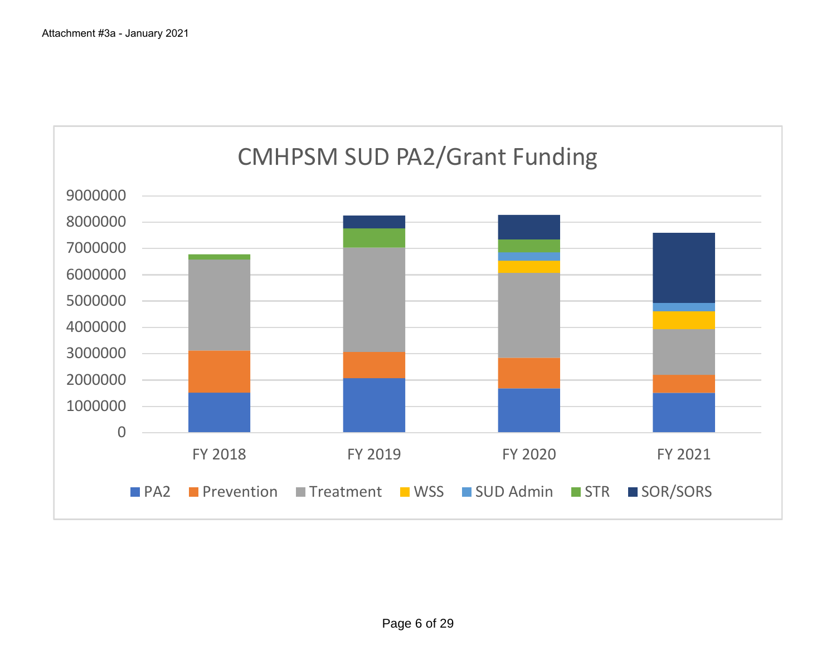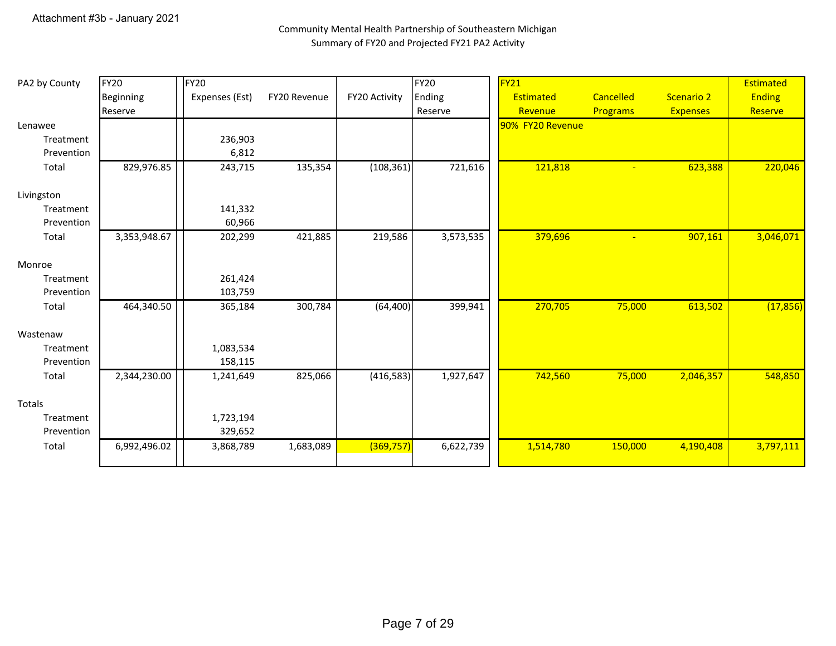### Community Mental Health Partnership of Southeastern Michigan Summary of FY20 and Projected FY21 PA2 Activity

| PA2 by County | <b>FY20</b>  | <b>FY20</b>    |              |               | <b>FY20</b> | FY <sub>21</sub> |                 |                 | Estimated     |
|---------------|--------------|----------------|--------------|---------------|-------------|------------------|-----------------|-----------------|---------------|
|               | Beginning    | Expenses (Est) | FY20 Revenue | FY20 Activity | Ending      | Estimated        | Cancelled       | Scenario 2      | <b>Ending</b> |
|               | Reserve      |                |              |               | Reserve     | Revenue          | <b>Programs</b> | <b>Expenses</b> | Reserve       |
| Lenawee       |              |                |              |               |             | 90% FY20 Revenue |                 |                 |               |
| Treatment     |              | 236,903        |              |               |             |                  |                 |                 |               |
| Prevention    |              | 6,812          |              |               |             |                  |                 |                 |               |
| Total         | 829,976.85   | 243,715        | 135,354      | (108, 361)    | 721,616     | 121,818          | $\equiv$        | 623,388         | 220,046       |
| Livingston    |              |                |              |               |             |                  |                 |                 |               |
| Treatment     |              | 141,332        |              |               |             |                  |                 |                 |               |
| Prevention    |              | 60,966         |              |               |             |                  |                 |                 |               |
| Total         | 3,353,948.67 | 202,299        | 421,885      | 219,586       | 3,573,535   | 379,696          |                 | 907,161         | 3,046,071     |
| Monroe        |              |                |              |               |             |                  |                 |                 |               |
| Treatment     |              | 261,424        |              |               |             |                  |                 |                 |               |
| Prevention    |              | 103,759        |              |               |             |                  |                 |                 |               |
| Total         | 464,340.50   | 365,184        | 300,784      | (64, 400)     | 399,941     | 270,705          | 75,000          | 613,502         | (17, 856)     |
| Wastenaw      |              |                |              |               |             |                  |                 |                 |               |
| Treatment     |              | 1,083,534      |              |               |             |                  |                 |                 |               |
| Prevention    |              | 158,115        |              |               |             |                  |                 |                 |               |
| Total         | 2,344,230.00 | 1,241,649      | 825,066      | (416, 583)    | 1,927,647   | 742,560          | 75,000          | 2,046,357       | 548,850       |
| Totals        |              |                |              |               |             |                  |                 |                 |               |
| Treatment     |              | 1,723,194      |              |               |             |                  |                 |                 |               |
| Prevention    |              | 329,652        |              |               |             |                  |                 |                 |               |
| Total         | 6,992,496.02 | 3,868,789      | 1,683,089    | (369, 757)    | 6,622,739   | 1,514,780        | 150,000         | 4,190,408       | 3,797,111     |
|               |              |                |              |               |             |                  |                 |                 |               |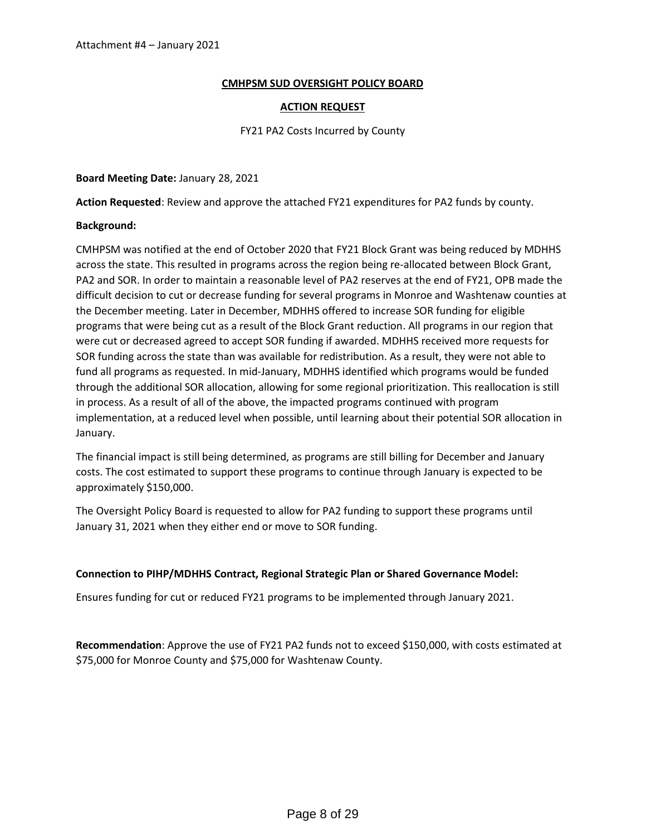#### **CMHPSM SUD OVERSIGHT POLICY BOARD**

#### **ACTION REQUEST**

#### FY21 PA2 Costs Incurred by County

#### **Board Meeting Date:** January 28, 2021

**Action Requested**: Review and approve the attached FY21 expenditures for PA2 funds by county.

#### **Background:**

CMHPSM was notified at the end of October 2020 that FY21 Block Grant was being reduced by MDHHS across the state. This resulted in programs across the region being re-allocated between Block Grant, PA2 and SOR. In order to maintain a reasonable level of PA2 reserves at the end of FY21, OPB made the difficult decision to cut or decrease funding for several programs in Monroe and Washtenaw counties at the December meeting. Later in December, MDHHS offered to increase SOR funding for eligible programs that were being cut as a result of the Block Grant reduction. All programs in our region that were cut or decreased agreed to accept SOR funding if awarded. MDHHS received more requests for SOR funding across the state than was available for redistribution. As a result, they were not able to fund all programs as requested. In mid-January, MDHHS identified which programs would be funded through the additional SOR allocation, allowing for some regional prioritization. This reallocation is still in process. As a result of all of the above, the impacted programs continued with program implementation, at a reduced level when possible, until learning about their potential SOR allocation in January.

The financial impact is still being determined, as programs are still billing for December and January costs. The cost estimated to support these programs to continue through January is expected to be approximately \$150,000.

The Oversight Policy Board is requested to allow for PA2 funding to support these programs until January 31, 2021 when they either end or move to SOR funding.

#### **Connection to PIHP/MDHHS Contract, Regional Strategic Plan or Shared Governance Model:**

Ensures funding for cut or reduced FY21 programs to be implemented through January 2021.

**Recommendation**: Approve the use of FY21 PA2 funds not to exceed \$150,000, with costs estimated at \$75,000 for Monroe County and \$75,000 for Washtenaw County.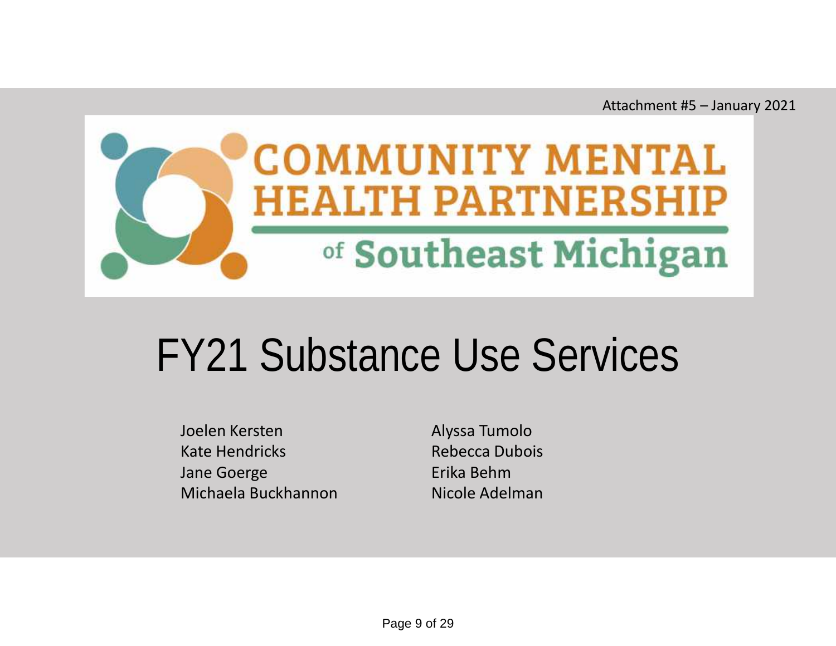Attachment #5 – January 2021



# FY21 Substance Use Services

Joelen Kersten Alyssa Tumolo Kate Hendricks **Rebecca Dubois** Jane Goerge **Erika Behm** Michaela Buckhannon Micole Adelman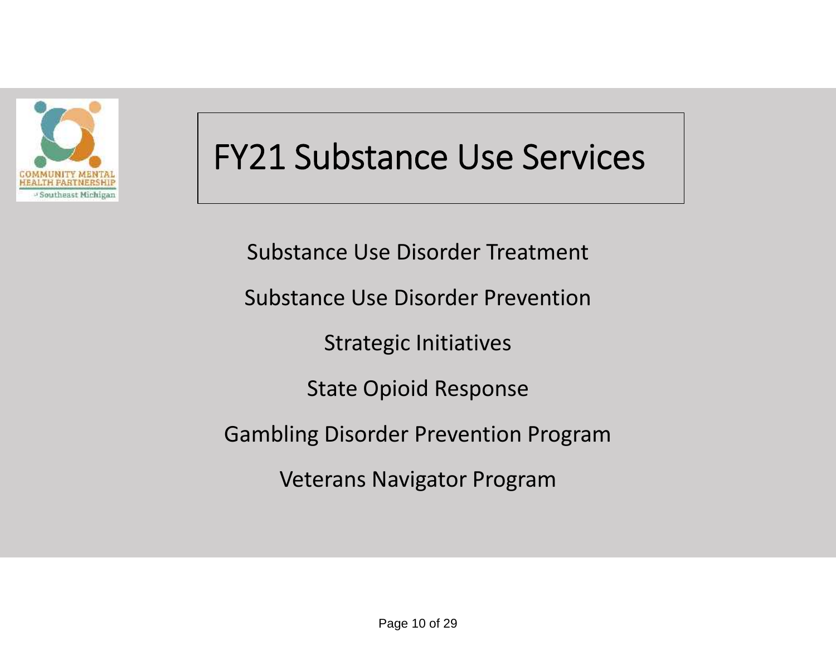

### **FY21 Substance Use Services**

Substance Use Disorder Treatment

Substance Use Disorder Prevention

Strategic Initiatives

State Opioid Response

Gambling Disorder Prevention Program

Veterans Navigator Program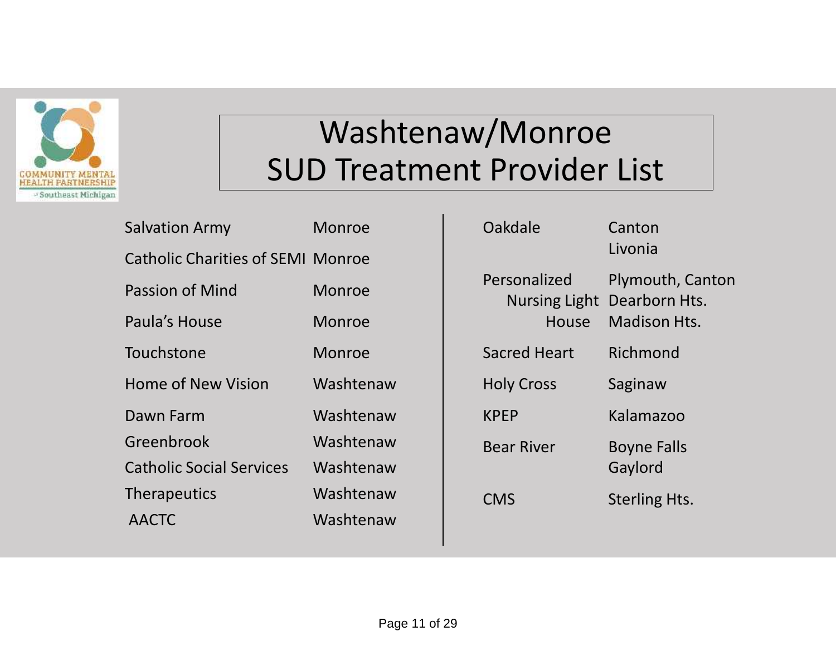

### Washtenaw/Monroe SUD Treatment Provider List

| <b>Salvation Army</b>                    | <b>Monroe</b> |             |
|------------------------------------------|---------------|-------------|
| <b>Catholic Charities of SEMI Monroe</b> |               |             |
| <b>Passion of Mind</b>                   | <b>Monroe</b> | F           |
| Paula's House                            | <b>Monroe</b> |             |
| Touchstone                               | Monroe        |             |
| <b>Home of New Vision</b>                | Washtenaw     |             |
| Dawn Farm                                | Washtenaw     | $\mathsf k$ |
| Greenbrook                               | Washtenaw     | E           |
| <b>Catholic Social Services</b>          | Washtenaw     |             |
| <b>Therapeutics</b>                      | Washtenaw     |             |
| <b>AACTC</b>                             | Washtenaw     |             |
|                                          |               |             |

| Personalized<br>Plymouth, Canton<br>Nursing Light Dearborn Hts.<br>Madison Hts.<br>House<br>Richmond<br><b>Sacred Heart</b><br><b>Holy Cross</b><br>Saginaw<br><b>KPEP</b><br>Kalamazoo<br><b>Bear River</b><br><b>Boyne Falls</b><br>Gaylord<br>CMS<br><b>Sterling Hts.</b> | Oakdale | Canton<br>Livonia |
|------------------------------------------------------------------------------------------------------------------------------------------------------------------------------------------------------------------------------------------------------------------------------|---------|-------------------|
|                                                                                                                                                                                                                                                                              |         |                   |
|                                                                                                                                                                                                                                                                              |         |                   |
|                                                                                                                                                                                                                                                                              |         |                   |
|                                                                                                                                                                                                                                                                              |         |                   |
|                                                                                                                                                                                                                                                                              |         |                   |
|                                                                                                                                                                                                                                                                              |         |                   |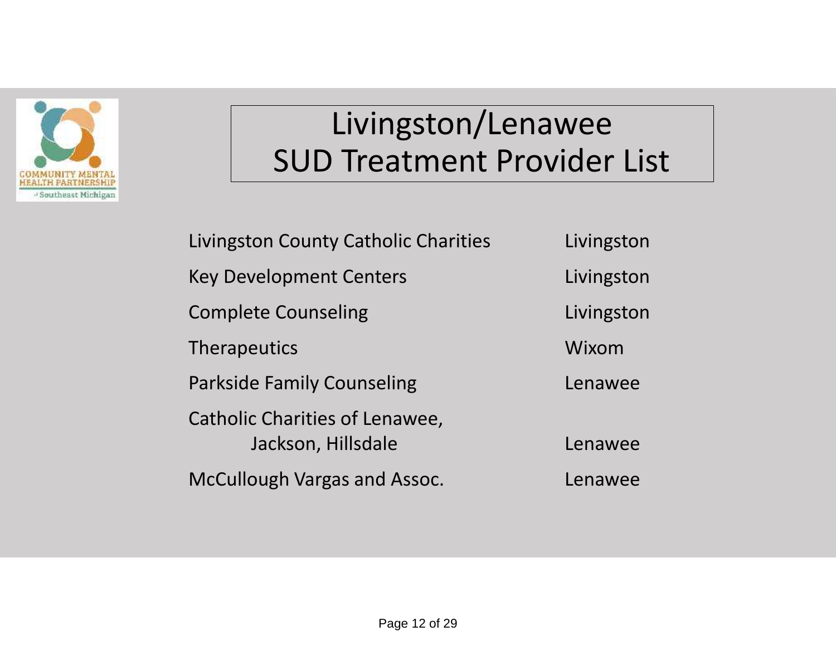

### Livingston/Lenawee SUD Treatment Provider List

Livingston County Catholic Charities Livingston Key Development Centers **Livingston** Complete Counseling **Limitation** Livingston Therapeutics Wixom Parkside Family Counseling The Counter of Lenawee Catholic Charities of Lenawee, Jackson, Hillsdale **Lenawee** McCullough Vargas and Assoc. Lenawee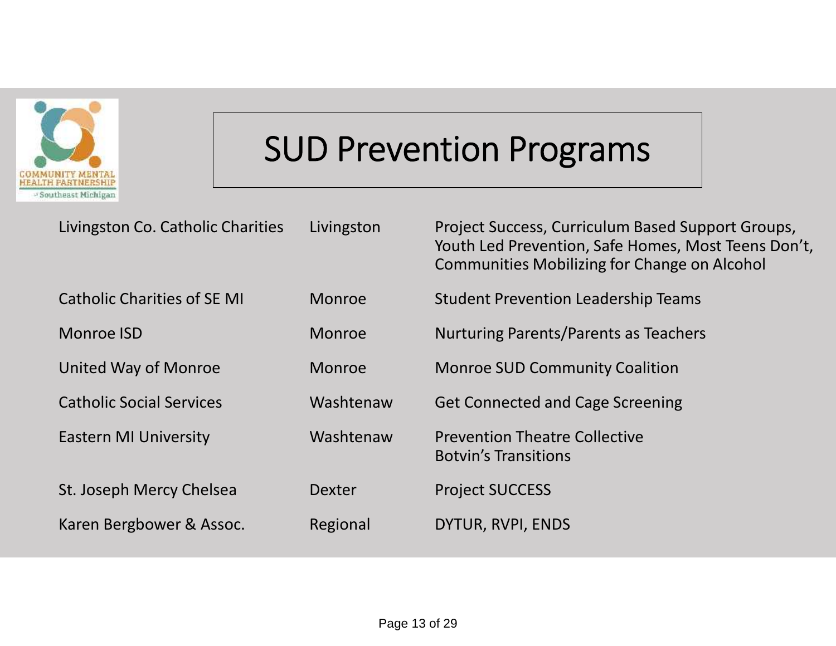

## **SUD Prevention Programs**

| Livingston Co. Catholic Charities  | Livingston    | Project Success, Curriculum Based Support Groups,<br>Youth Led Prevention, Safe Homes, Most Teens Don't,<br>Communities Mobilizing for Change on Alcohol |
|------------------------------------|---------------|----------------------------------------------------------------------------------------------------------------------------------------------------------|
| <b>Catholic Charities of SE MI</b> | <b>Monroe</b> | <b>Student Prevention Leadership Teams</b>                                                                                                               |
| Monroe ISD                         | <b>Monroe</b> | Nurturing Parents/Parents as Teachers                                                                                                                    |
| United Way of Monroe               | <b>Monroe</b> | <b>Monroe SUD Community Coalition</b>                                                                                                                    |
| <b>Catholic Social Services</b>    | Washtenaw     | <b>Get Connected and Cage Screening</b>                                                                                                                  |
| <b>Eastern MI University</b>       | Washtenaw     | <b>Prevention Theatre Collective</b><br><b>Botvin's Transitions</b>                                                                                      |
| St. Joseph Mercy Chelsea           | <b>Dexter</b> | <b>Project SUCCESS</b>                                                                                                                                   |
| Karen Bergbower & Assoc.           | Regional      | DYTUR, RVPI, ENDS                                                                                                                                        |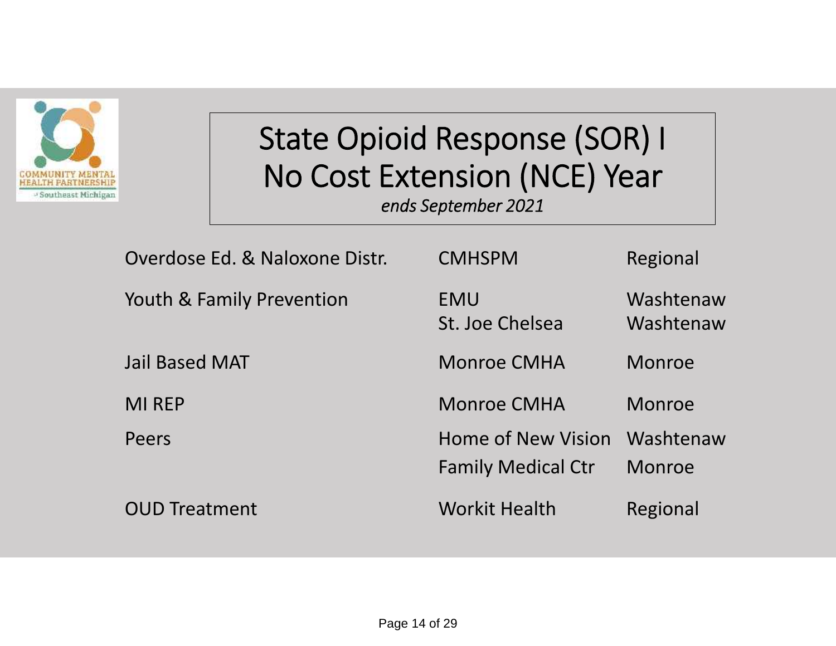

## **State Opioid Response (SOR) I No Cost Extension (NCE) Year**

*ends September 2021*

| Overdose Ed. & Naloxone Distr. | <b>CMHSPM</b>                                          | Regional               |
|--------------------------------|--------------------------------------------------------|------------------------|
| Youth & Family Prevention      | EMU<br>St. Joe Chelsea                                 | Washtenaw<br>Washtenaw |
| <b>Jail Based MAT</b>          | <b>Monroe CMHA</b>                                     | Monroe                 |
| <b>MI REP</b>                  | <b>Monroe CMHA</b>                                     | Monroe                 |
| Peers                          | <b>Home of New Vision</b><br><b>Family Medical Ctr</b> | Washtenaw<br>Monroe    |
| <b>OUD Treatment</b>           | <b>Workit Health</b>                                   | Regional               |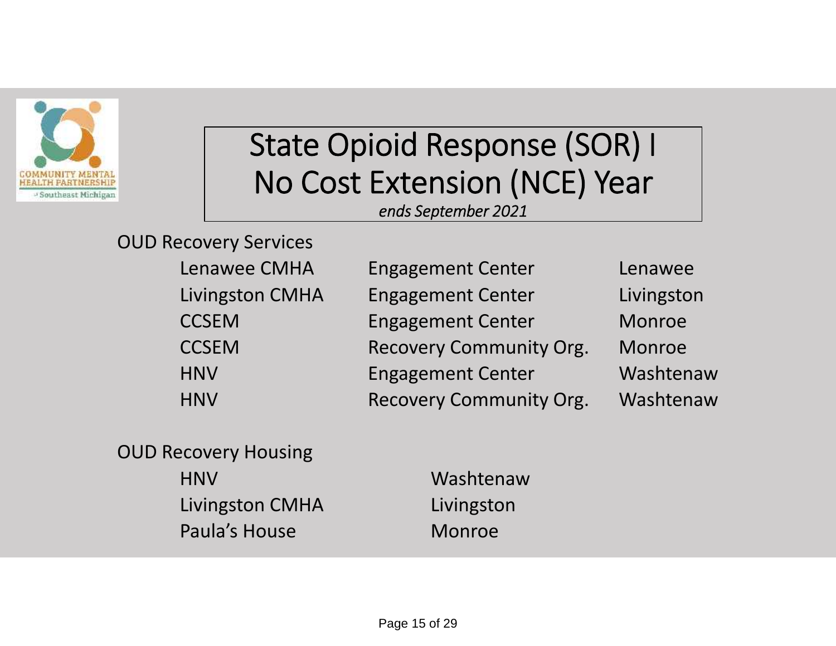

## **State Opioid Response (SOR) I No Cost Extension (NCE) Year**

*ends September 2021*

| <b>OUD Recovery Services</b> |  |
|------------------------------|--|
| Lenawee CMHA                 |  |
| <b>Livingston CMHA</b>       |  |
| — — — — <u>—</u>             |  |

| <b>Lenawee CMHA</b>    | <b>Engagement Center</b>       | Lenawee    |
|------------------------|--------------------------------|------------|
| <b>Livingston CMHA</b> | <b>Engagement Center</b>       | Livingston |
| <b>CCSEM</b>           | <b>Engagement Center</b>       | Monroe     |
| <b>CCSEM</b>           | <b>Recovery Community Org.</b> | Monroe     |
| <b>HNV</b>             | <b>Engagement Center</b>       | Washtenaw  |
| <b>HNV</b>             | <b>Recovery Community Org.</b> | Washtenaw  |

OUD Recovery Housing

| <b>HNV</b>      | Washtenaw  |
|-----------------|------------|
| Livingston CMHA | Livingston |
| Paula's House   | Monroe     |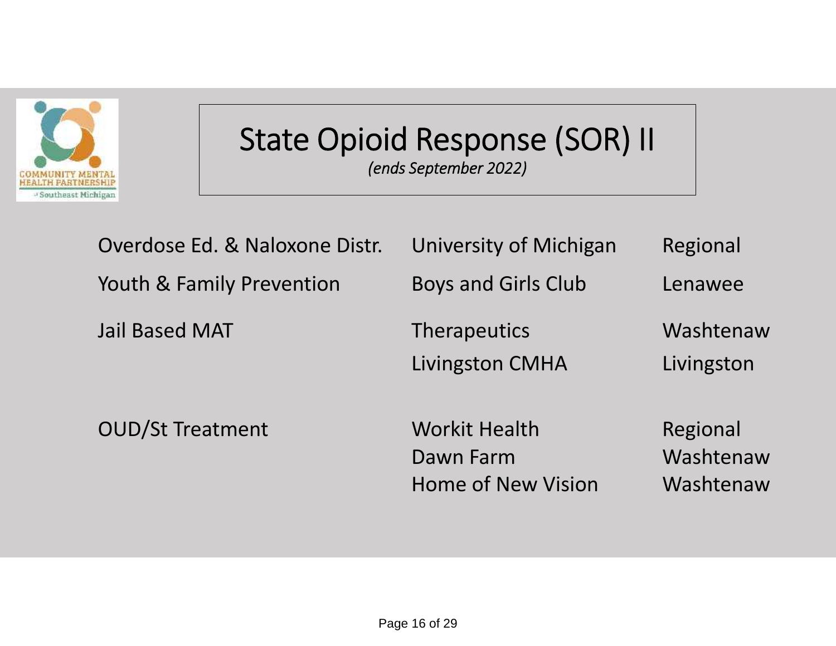

### **State Opioid Response (SOR) II** *(ends September 2022)*

| Overdose Ed. & Naloxone Distr. | University of Michigan                                         | Regional                           |
|--------------------------------|----------------------------------------------------------------|------------------------------------|
| Youth & Family Prevention      | <b>Boys and Girls Club</b>                                     | Lenawee                            |
| <b>Jail Based MAT</b>          | <b>Therapeutics</b><br><b>Livingston CMHA</b>                  | Washtenaw<br>Livingston            |
| <b>OUD/St Treatment</b>        | <b>Workit Health</b><br>Dawn Farm<br><b>Home of New Vision</b> | Regional<br>Washtenaw<br>Washtenaw |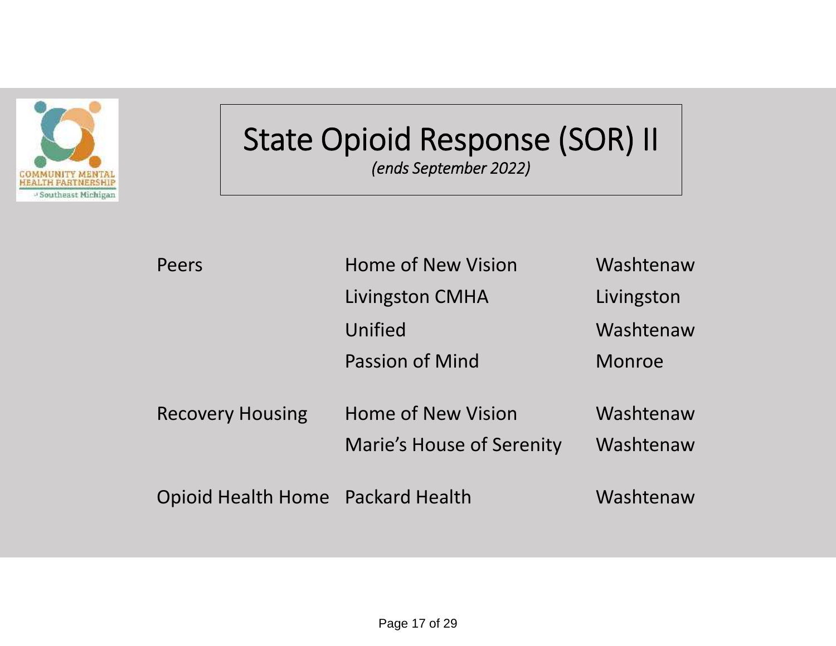

### **State Opioid Response (SOR) II** *(ends September 2022)*

| Peers                             | <b>Home of New Vision</b>                                     | Washtenaw              |
|-----------------------------------|---------------------------------------------------------------|------------------------|
|                                   | Livingston CMHA                                               | Livingston             |
|                                   | Unified                                                       | Washtenaw              |
|                                   | <b>Passion of Mind</b>                                        | Monroe                 |
| <b>Recovery Housing</b>           | <b>Home of New Vision</b><br><b>Marie's House of Serenity</b> | Washtenaw<br>Washtenaw |
| Opioid Health Home Packard Health |                                                               | Washtenaw              |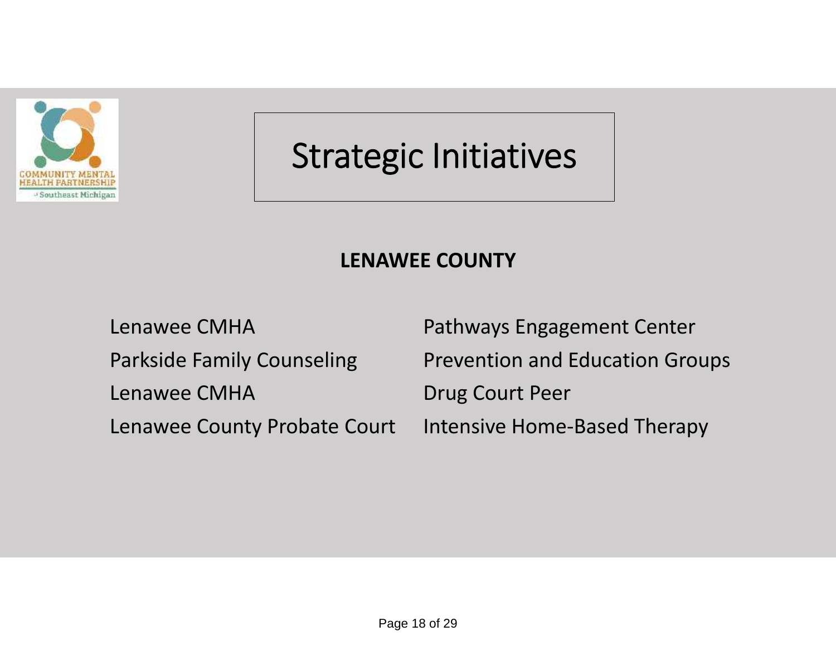

### **LENAWEE COUNTY**

Lenawee CMHA Drug Court Peer

Lenawee CMHA **Pathways Engagement Center** Parkside Family Counseling Prevention and Education Groups Lenawee County Probate Court Intensive Home-Based Therapy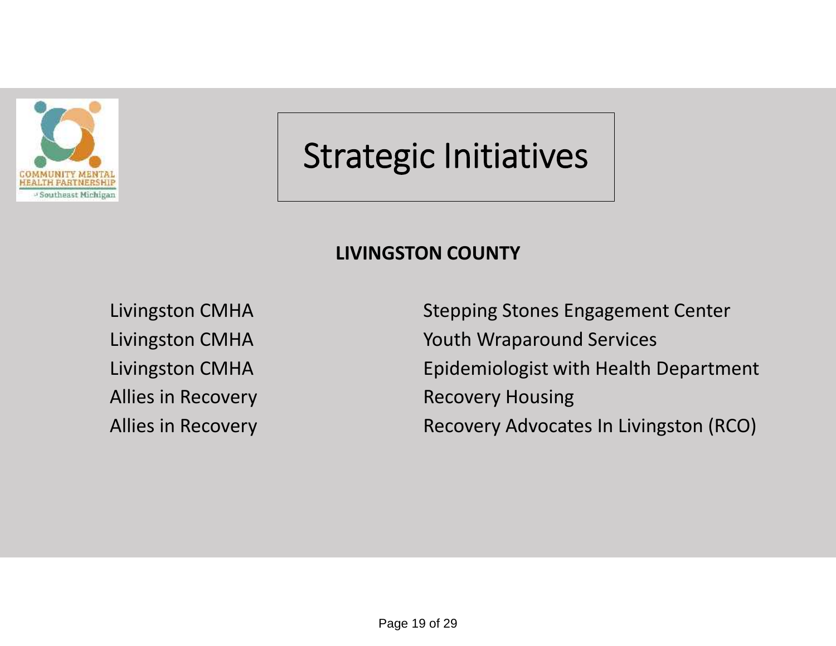

### **LIVINGSTON COUNTY**

Allies in Recovery **Recovery Housing** 

Livingston CMHA Stepping Stones Engagement Center Livingston CMHA Youth Wraparound Services Livingston CMHA Epidemiologist with Health Department Allies in Recovery **Recovery Advocates In Livingston (RCO)**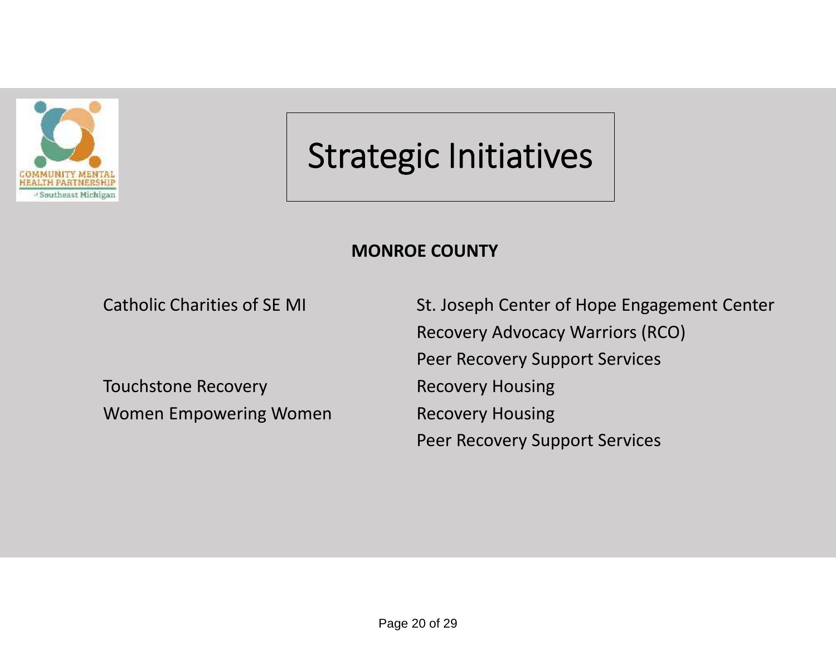

### **MONROE COUNTY**

Touchstone Recovery **Recovery** Recovery Housing Women Empowering Women **Recovery Housing** 

Catholic Charities of SE MI St. Joseph Center of Hope Engagement Center Recovery Advocacy Warriors (RCO) Peer Recovery Support Services Peer Recovery Support Services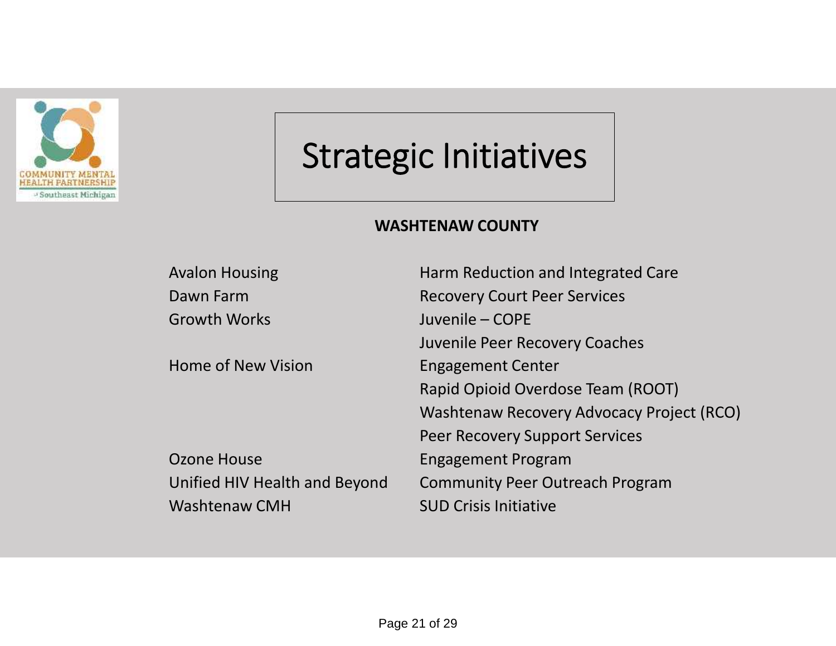

### **WASHTENAW COUNTY**

| <b>Avalon Housing</b>         | Harm Reduction and Integrated Care        |
|-------------------------------|-------------------------------------------|
| Dawn Farm                     | <b>Recovery Court Peer Services</b>       |
| <b>Growth Works</b>           | Juvenile - COPE                           |
|                               | Juvenile Peer Recovery Coaches            |
| <b>Home of New Vision</b>     | <b>Engagement Center</b>                  |
|                               | Rapid Opioid Overdose Team (ROOT)         |
|                               | Washtenaw Recovery Advocacy Project (RCO) |
|                               | <b>Peer Recovery Support Services</b>     |
| Ozone House                   | <b>Engagement Program</b>                 |
| Unified HIV Health and Beyond | <b>Community Peer Outreach Program</b>    |
| <b>Washtenaw CMH</b>          | <b>SUD Crisis Initiative</b>              |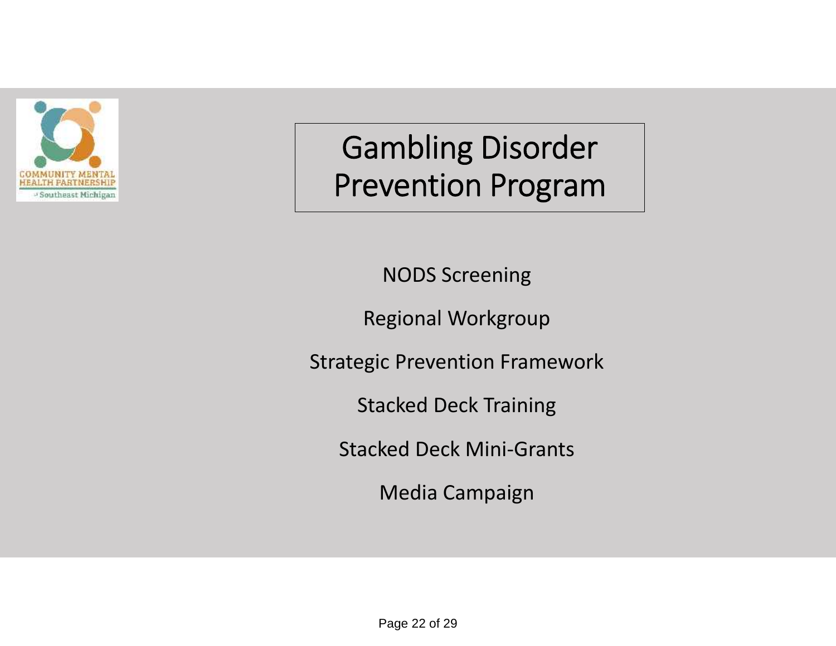

### **Gambling Disorder Prevention Program**

NODS Screening

Regional Workgroup

Strategic Prevention Framework

Stacked Deck Training

Stacked Deck Mini-Grants

Media Campaign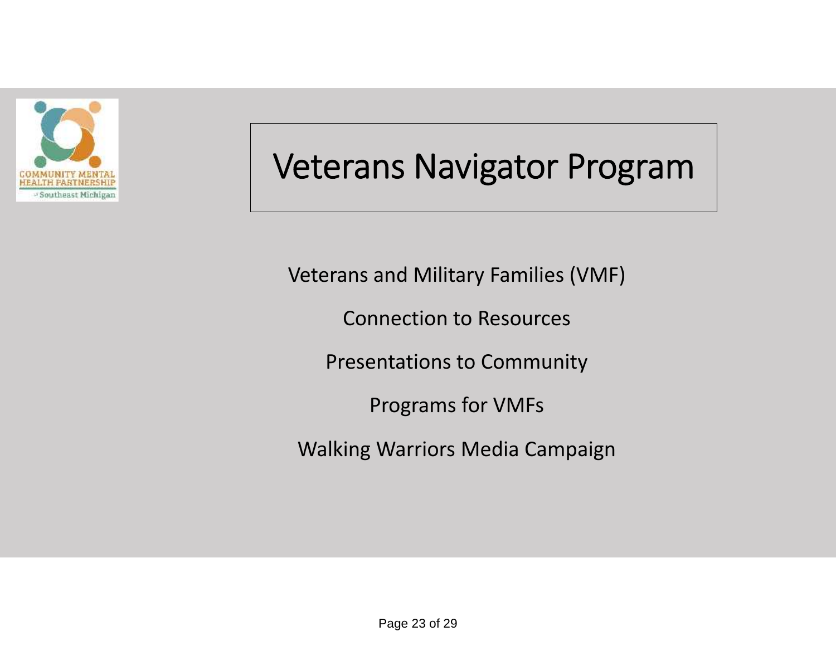

### **Veterans Navigator Program**

Veterans and Military Families (VMF)

Connection to Resources

Presentations to Community

Programs for VMFs

Walking Warriors Media Campaign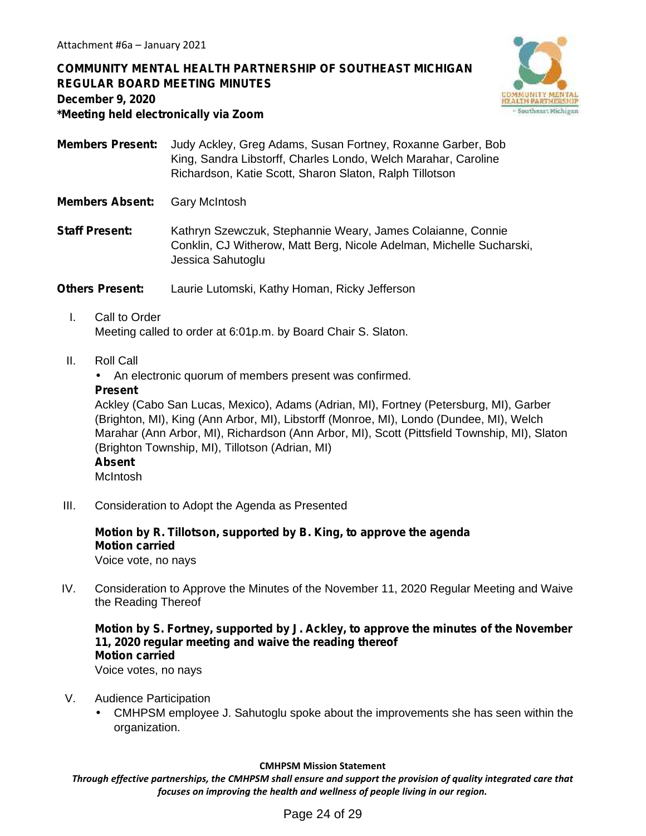**COMMUNITY MENTAL HEALTH PARTNERSHIP OF SOUTHEAST MICHIGAN REGULAR BOARD MEETING MINUTES December 9, 2020 \*Meeting held electronically via Zoom**



**Members Present:** Judy Ackley, Greg Adams, Susan Fortney, Roxanne Garber, Bob King, Sandra Libstorff, Charles Londo, Welch Marahar, Caroline Richardson, Katie Scott, Sharon Slaton, Ralph Tillotson

**Members Absent:** Gary McIntosh

**Staff Present:** Kathryn Szewczuk, Stephannie Weary, James Colaianne, Connie Conklin, CJ Witherow, Matt Berg, Nicole Adelman, Michelle Sucharski, Jessica Sahutoglu

**Others Present:** Laurie Lutomski, Kathy Homan, Ricky Jefferson

- I. Call to Order Meeting called to order at 6:01p.m. by Board Chair S. Slaton.
- II. Roll Call

An electronic quorum of members present was confirmed.

### **Present**

Ackley (Cabo San Lucas, Mexico), Adams (Adrian, MI), Fortney (Petersburg, MI), Garber (Brighton, MI), King (Ann Arbor, MI), Libstorff (Monroe, MI), Londo (Dundee, MI), Welch Marahar (Ann Arbor, MI), Richardson (Ann Arbor, MI), Scott (Pittsfield Township, MI), Slaton (Brighton Township, MI), Tillotson (Adrian, MI) **Absent**

**McIntosh** 

III. Consideration to Adopt the Agenda as Presented

### **Motion by R. Tillotson, supported by B. King, to approve the agenda Motion carried**

Voice vote, no nays

IV. Consideration to Approve the Minutes of the November 11, 2020 Regular Meeting and Waive the Reading Thereof

**Motion by S. Fortney, supported by J. Ackley, to approve the minutes of the November 11, 2020 regular meeting and waive the reading thereof Motion carried** Voice votes, no nays

- V. Audience Participation
	- CMHPSM employee J. Sahutoglu spoke about the improvements she has seen within the organization.

#### **CMHPSM Mission Statement**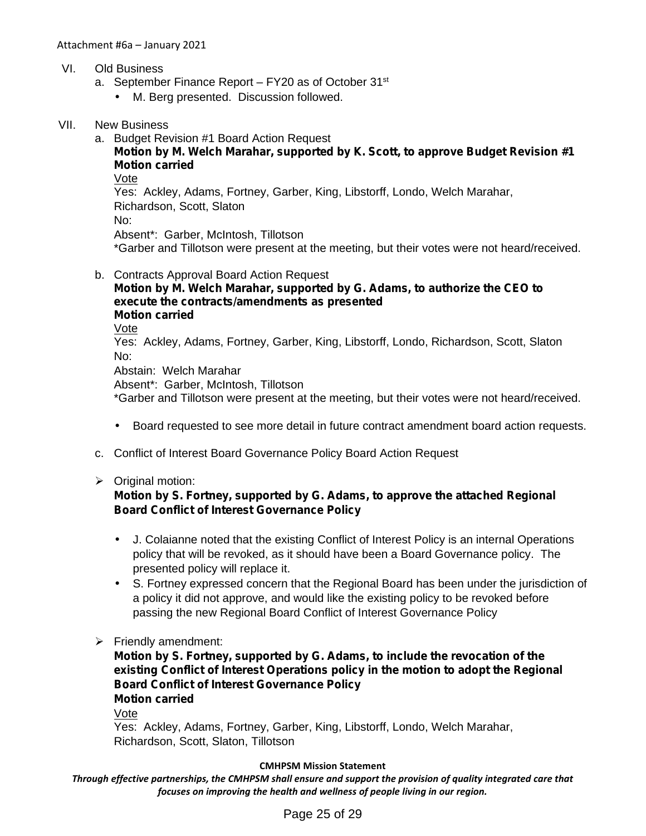- VI. Old Business
	- a. September Finance Report  $-$  FY20 as of October 31 $st$ 
		- M. Berg presented. Discussion followed.
- VII. New Business
	- a. Budget Revision #1 Board Action Request

### **Motion by M. Welch Marahar, supported by K. Scott, to approve Budget Revision #1 Motion carried**

Vote

Yes: Ackley, Adams, Fortney, Garber, King, Libstorff, Londo, Welch Marahar, Richardson, Scott, Slaton

No:

Absent\*: Garber, McIntosh, Tillotson

\*Garber and Tillotson were present at the meeting, but their votes were not heard/received.

- b. Contracts Approval Board Action Request
	- **Motion by M. Welch Marahar, supported by G. Adams, to authorize the CEO to execute the contracts/amendments as presented Motion carried** Vote Yes: Ackley, Adams, Fortney, Garber, King, Libstorff, Londo, Richardson, Scott, Slaton

No:

Abstain: Welch Marahar

Absent\*: Garber, McIntosh, Tillotson

\*Garber and Tillotson were present at the meeting, but their votes were not heard/received.

Board requested to see more detail in future contract amendment board action requests.

- c. Conflict of Interest Board Governance Policy Board Action Request
- $\triangleright$  Original motion:

### **Motion by S. Fortney, supported by G. Adams, to approve the attached Regional Board Conflict of Interest Governance Policy**

- J. Colaianne noted that the existing Conflict of Interest Policy is an internal Operations policy that will be revoked, as it should have been a Board Governance policy. The presented policy will replace it.
- S. Fortney expressed concern that the Regional Board has been under the jurisdiction of a policy it did not approve, and would like the existing policy to be revoked before passing the new Regional Board Conflict of Interest Governance Policy
- $\triangleright$  Friendly amendment:

**Motion by S. Fortney, supported by G. Adams, to include the revocation of the existing Conflict of Interest Operations policy in the motion to adopt the Regional Board Conflict of Interest Governance Policy Motion carried**

Vote

Yes: Ackley, Adams, Fortney, Garber, King, Libstorff, Londo, Welch Marahar, Richardson, Scott, Slaton, Tillotson

#### **CMHPSM Mission Statement**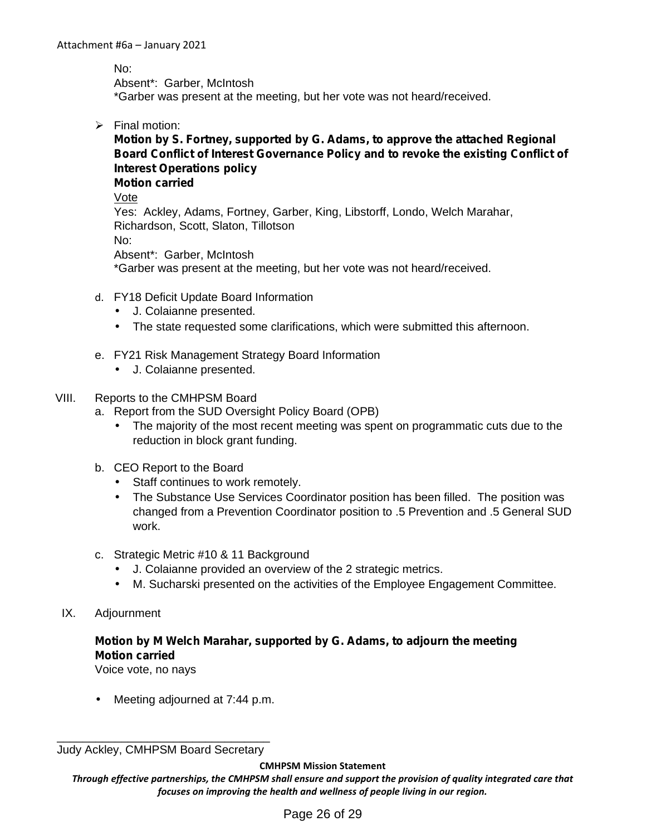No:

Absent\*: Garber, McIntosh

\*Garber was present at the meeting, but her vote was not heard/received.

 $\triangleright$  Final motion:

### **Motion by S. Fortney, supported by G. Adams, to approve the attached Regional Board Conflict of Interest Governance Policy and to revoke the existing Conflict of Interest Operations policy**

**Motion carried**

Vote

Yes: Ackley, Adams, Fortney, Garber, King, Libstorff, Londo, Welch Marahar, Richardson, Scott, Slaton, Tillotson No: Absent\*: Garber, McIntosh \*Garber was present at the meeting, but her vote was not heard/received.

- d. FY18 Deficit Update Board Information
	- J. Colaianne presented.
	- The state requested some clarifications, which were submitted this afternoon.
- e. FY21 Risk Management Strategy Board Information
	- J. Colaianne presented.

### VIII. Reports to the CMHPSM Board

- a. Report from the SUD Oversight Policy Board (OPB)
	- The majority of the most recent meeting was spent on programmatic cuts due to the reduction in block grant funding.
- b. CEO Report to the Board
	- Staff continues to work remotely.
	- The Substance Use Services Coordinator position has been filled. The position was changed from a Prevention Coordinator position to .5 Prevention and .5 General SUD work.
- c. Strategic Metric #10 & 11 Background
	- J. Colaianne provided an overview of the 2 strategic metrics.
	- M. Sucharski presented on the activities of the Employee Engagement Committee.
- IX. Adjournment

### **Motion by M Welch Marahar, supported by G. Adams, to adjourn the meeting Motion carried**

Voice vote, no nays

Meeting adjourned at 7:44 p.m.

#### **CMHPSM Mission Statement**

\_\_\_\_\_\_\_\_\_\_\_\_\_\_\_\_\_\_\_\_\_\_\_\_\_\_\_\_\_\_\_\_\_ Judy Ackley, CMHPSM Board Secretary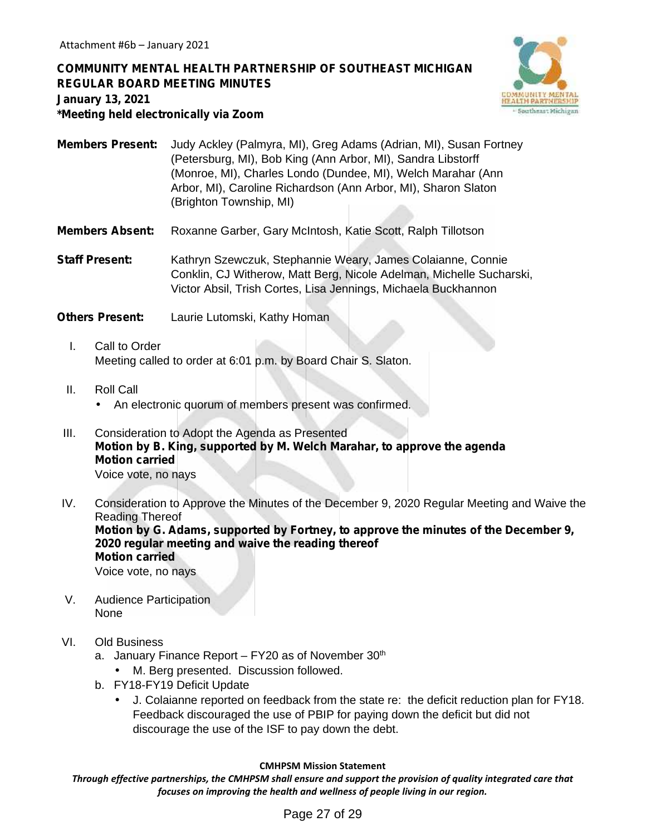**COMMUNITY MENTAL HEALTH PARTNERSHIP OF SOUTHEAST MICHIGAN REGULAR BOARD MEETING MINUTES January 13, 2021 \*Meeting held electronically via Zoom**



- **Members Present:** Judy Ackley (Palmyra, MI), Greg Adams (Adrian, MI), Susan Fortney (Petersburg, MI), Bob King (Ann Arbor, MI), Sandra Libstorff (Monroe, MI), Charles Londo (Dundee, MI), Welch Marahar (Ann Arbor, MI), Caroline Richardson (Ann Arbor, MI), Sharon Slaton (Brighton Township, MI)
- **Members Absent:** Roxanne Garber, Gary McIntosh, Katie Scott, Ralph Tillotson

**Staff Present:** Kathryn Szewczuk, Stephannie Weary, James Colaianne, Connie Conklin, CJ Witherow, Matt Berg, Nicole Adelman, Michelle Sucharski, Victor Absil, Trish Cortes, Lisa Jennings, Michaela Buckhannon

**Others Present:** Laurie Lutomski, Kathy Homan

- I. Call to Order Meeting called to order at 6:01 p.m. by Board Chair S. Slaton.
- II. Roll Call An electronic quorum of members present was confirmed.
- III. Consideration to Adopt the Agenda as Presented **Motion by B. King, supported by M. Welch Marahar, to approve the agenda Motion carried** Voice vote, no nays
- IV. Consideration to Approve the Minutes of the December 9, 2020 Regular Meeting and Waive the Reading Thereof **Motion by G. Adams, supported by Fortney, to approve the minutes of the December 9, 2020 regular meeting and waive the reading thereof Motion carried**

Voice vote, no nays

- V. Audience Participation None
- VI. Old Business
	- a. January Finance Report  $-$  FY20 as of November 30<sup>th</sup>
		- M. Berg presented. Discussion followed.
	- b. FY18-FY19 Deficit Update
		- J. Colaianne reported on feedback from the state re: the deficit reduction plan for FY18. Feedback discouraged the use of PBIP for paying down the deficit but did not discourage the use of the ISF to pay down the debt.

#### **CMHPSM Mission Statement**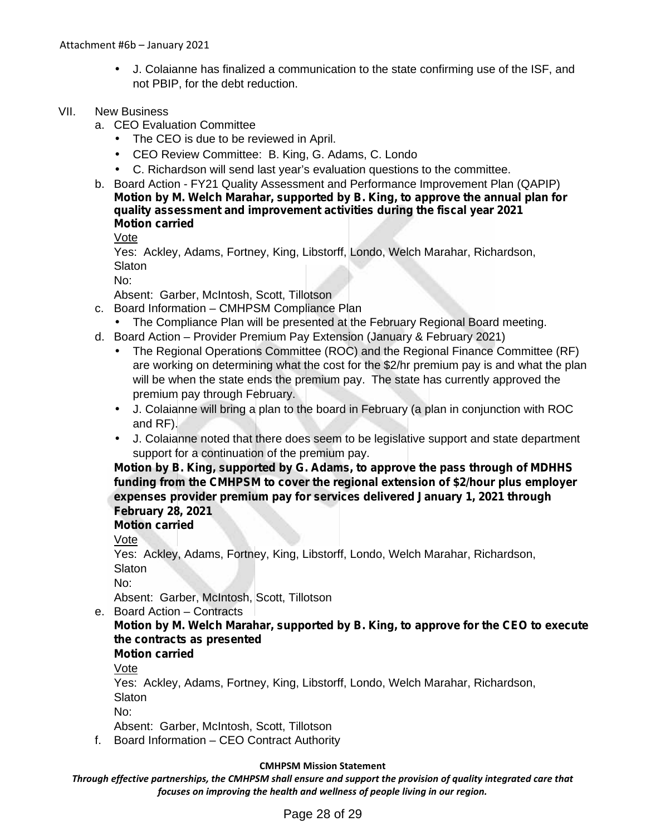J. Colaianne has finalized a communication to the state confirming use of the ISF, and not PBIP, for the debt reduction.

### VII. New Business

- a. CEO Evaluation Committee
	- The CEO is due to be reviewed in April.
	- CEO Review Committee: B. King, G. Adams, C. Londo
	- C. Richardson will send last year's evaluation questions to the committee.
- b. Board Action FY21 Quality Assessment and Performance Improvement Plan (QAPIP) **Motion by M. Welch Marahar, supported by B. King, to approve the annual plan for quality assessment and improvement activities during the fiscal year 2021 Motion carried**

Vote

Yes: Ackley, Adams, Fortney, King, Libstorff, Londo, Welch Marahar, Richardson, **Slaton** 

No:

Absent: Garber, McIntosh, Scott, Tillotson

- c. Board Information CMHPSM Compliance Plan
	- The Compliance Plan will be presented at the February Regional Board meeting.
- d. Board Action Provider Premium Pay Extension (January & February 2021)
	- The Regional Operations Committee (ROC) and the Regional Finance Committee (RF) are working on determining what the cost for the \$2/hr premium pay is and what the plan will be when the state ends the premium pay. The state has currently approved the premium pay through February.
	- J. Colaianne will bring a plan to the board in February (a plan in conjunction with ROC and RF).
	- J. Colaianne noted that there does seem to be legislative support and state department support for a continuation of the premium pay.

**Motion by B. King, supported by G. Adams, to approve the pass through of MDHHS funding from the CMHPSM to cover the regional extension of \$2/hour plus employer expenses provider premium pay for services delivered January 1, 2021 through February 28, 2021**

### **Motion carried**

Vote

Yes: Ackley, Adams, Fortney, King, Libstorff, Londo, Welch Marahar, Richardson, **Slaton** 

No:

Absent: Garber, McIntosh, Scott, Tillotson

e. Board Action – Contracts

### **Motion by M. Welch Marahar, supported by B. King, to approve for the CEO to execute the contracts as presented**

**Motion carried**

Vote

Yes: Ackley, Adams, Fortney, King, Libstorff, Londo, Welch Marahar, Richardson, **Slaton** 

No:

Absent: Garber, McIntosh, Scott, Tillotson

f. Board Information – CEO Contract Authority

### **CMHPSM Mission Statement**